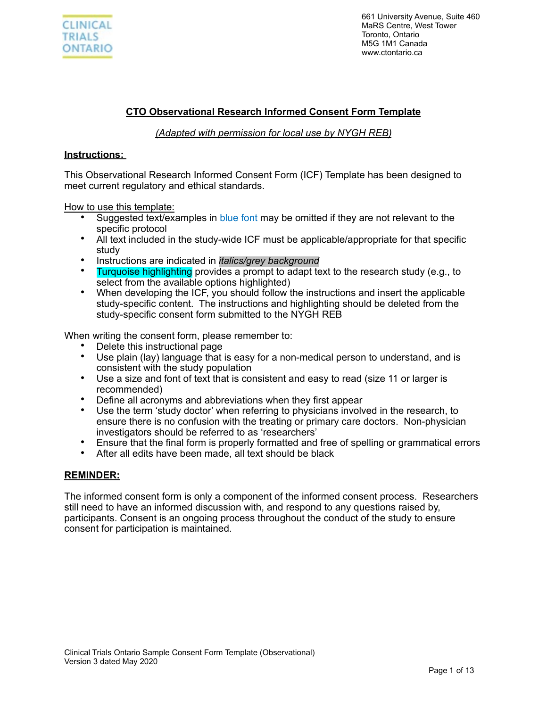

661 University Avenue, Suite 460 MaRS Centre, West Tower Toronto, Ontario M5G 1M1 Canada www.ctontario.ca

# **CTO Observational Research Informed Consent Form Template**

*(Adapted with permission for local use by NYGH REB)*

## **Instructions:**

This Observational Research Informed Consent Form (ICF) Template has been designed to meet current regulatory and ethical standards.

How to use this template:

- Suggested text/examples in blue font may be omitted if they are not relevant to the specific protocol
- All text included in the study-wide ICF must be applicable/appropriate for that specific study
- Instructions are indicated in *italics/grey background*
- Turquoise highlighting provides a prompt to adapt text to the research study (e.g., to select from the available options highlighted)
- When developing the ICF, you should follow the instructions and insert the applicable study-specific content. The instructions and highlighting should be deleted from the study-specific consent form submitted to the NYGH REB

When writing the consent form, please remember to:

- Delete this instructional page
- Use plain (lay) language that is easy for a non-medical person to understand, and is consistent with the study population
- Use a size and font of text that is consistent and easy to read (size 11 or larger is recommended)
- Define all acronyms and abbreviations when they first appear
- Use the term 'study doctor' when referring to physicians involved in the research, to ensure there is no confusion with the treating or primary care doctors. Non-physician investigators should be referred to as 'researchers'
- Ensure that the final form is properly formatted and free of spelling or grammatical errors
- After all edits have been made, all text should be black

# **REMINDER:**

The informed consent form is only a component of the informed consent process. Researchers still need to have an informed discussion with, and respond to any questions raised by, participants. Consent is an ongoing process throughout the conduct of the study to ensure consent for participation is maintained.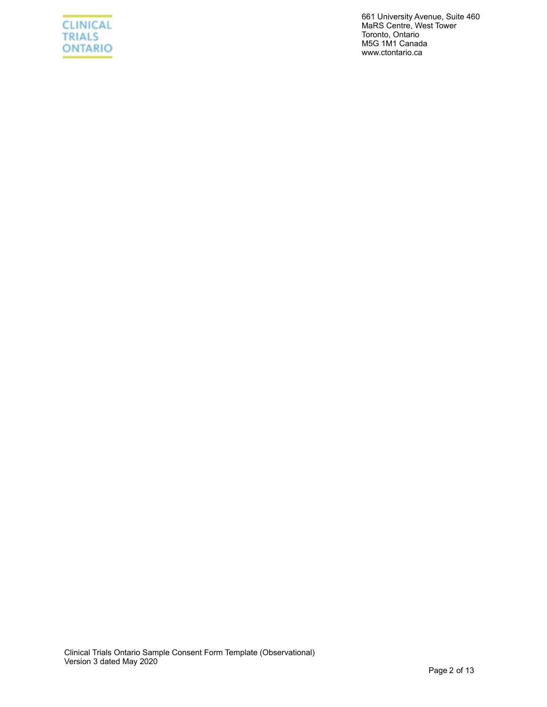

661 University Avenue, Suite 460 MaRS Centre, West Tower Toronto, Ontario M5G 1M1 Canada www.ctontario.ca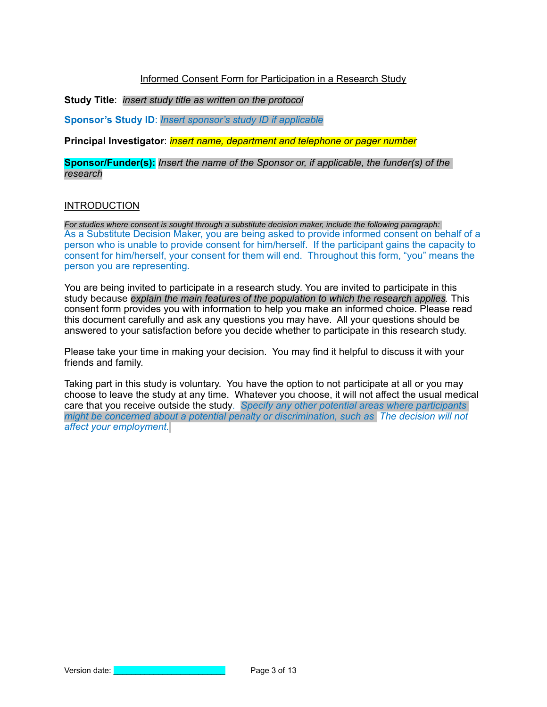# Informed Consent Form for Participation in a Research Study

**Study Title**: *insert study title as written on the protocol*

**Sponsor's Study ID**: *Insert sponsor's study ID if applicable*

## **Principal Investigator**: *insert name, department and telephone or pager number*

**Sponsor/Funder(s):** *Insert the name of the Sponsor or, if applicable, the funder(s) of the research*

# **INTRODUCTION**

*For studies where consent is sought through a substitute decision maker, include the following paragraph:* As a Substitute Decision Maker, you are being asked to provide informed consent on behalf of a person who is unable to provide consent for him/herself. If the participant gains the capacity to consent for him/herself, your consent for them will end. Throughout this form, "you" means the person you are representing.

You are being invited to participate in a research study. You are invited to participate in this study because *explain the main features of the population to which the research applies.* This consent form provides you with information to help you make an informed choice. Please read this document carefully and ask any questions you may have. All your questions should be answered to your satisfaction before you decide whether to participate in this research study.

Please take your time in making your decision. You may find it helpful to discuss it with your friends and family.

Taking part in this study is voluntary. You have the option to not participate at all or you may choose to leave the study at any time. Whatever you choose, it will not affect the usual medical care that you receive outside the study*. Specify any other potential areas where participants might be concerned about a potential penalty or discrimination, such as The decision will not affect your employment.*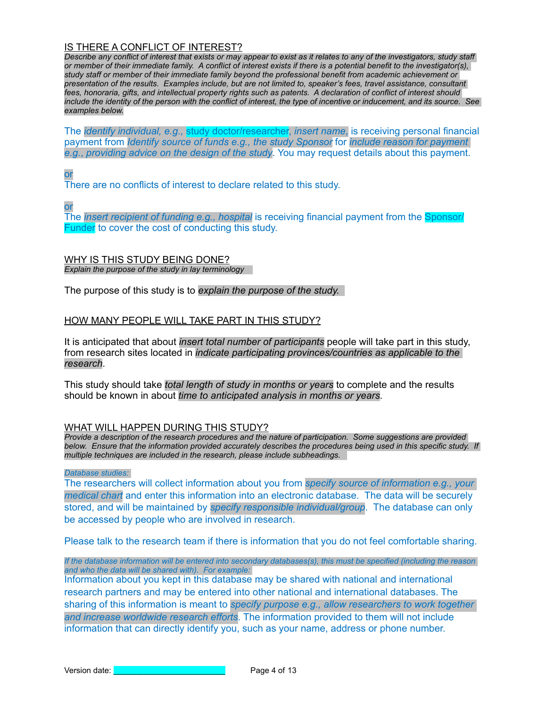# IS THERE A CONFLICT OF INTEREST?

*Describe any conflict of interest that exists or may appear to exist as it relates to any of the investigators, study staff or member of their immediate family. A conflict of interest exists if there is a potential benefit to the investigator(s), study staff or member of their immediate family beyond the professional benefit from academic achievement or presentation of the results. Examples include, but are not limited to, speaker's fees, travel assistance, consultant fees, honoraria, gifts, and intellectual property rights such as patents. A declaration of conflict of interest should include the identity of the person with the conflict of interest, the type of incentive or inducement, and its source. See examples below.*

The *identify individual, e.g.,* study doctor/researcher, *insert name*, is receiving personal financial payment from *Identify source of funds e.g., the study Sponsor* for *include reason for payment e.g.*, *providing advice on the design of the study*. You may request details about this payment.

or

There are no conflicts of interest to declare related to this study.

or

The *insert recipient of funding e.g., hospital* is receiving financial payment from the Sponsor/ Funder to cover the cost of conducting this study.

## WHY IS THIS STUDY BEING DONE? *Explain the purpose of the study in lay terminology*

The purpose of this study is to *explain the purpose of the study.* 

# HOW MANY PEOPLE WILL TAKE PART IN THIS STUDY?

It is anticipated that about *insert total number of participants* people will take part in this study, from research sites located in *indicate participating provinces/countries as applicable to the research*.

This study should take *total length of study in months or years* to complete and the results should be known in about *time to anticipated analysis in months or years*.

## WHAT WILL HAPPEN DURING THIS STUDY?

*Provide a description of the research procedures and the nature of participation. Some suggestions are provided below. Ensure that the information provided accurately describes the procedures being used in this specific study. If multiple techniques are included in the research, please include subheadings.* 

#### *Database studies:*

The researchers will collect information about you from *specify source of information e.g., your medical chart* and enter this information into an electronic database. The data will be securely stored, and will be maintained by *specify responsible individual/group*. The database can only be accessed by people who are involved in research.

Please talk to the research team if there is information that you do not feel comfortable sharing.

*If the database information will be entered into secondary databases(s), this must be specified (including the reason and who the data will be shared with). For example:* 

Information about you kept in this database may be shared with national and international research partners and may be entered into other national and international databases. The sharing of this information is meant to *specify purpose e.g., allow researchers to work together and increase worldwide research efforts*. The information provided to them will not include information that can directly identify you, such as your name, address or phone number.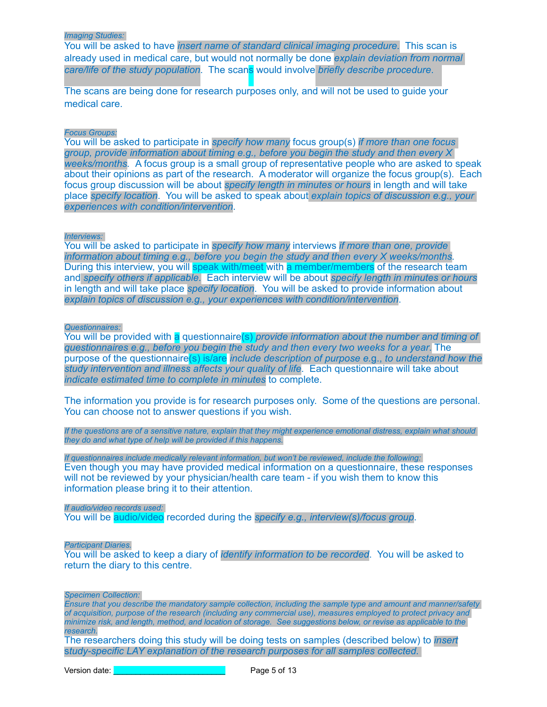#### *Imaging Studies:*

You will be asked to have *insert name of standard clinical imaging procedure.* This scan is already used in medical care, but would not normally be done *explain deviation from normal care/life of the study population*. The scans would involve *briefly describe procedure*.

The scans are being done for research purposes only, and will not be used to guide your medical care.

## *Focus Groups:*

You will be asked to participate in *specify how many* focus group(s) *if more than one focus group, provide information about timing e.g., before you begin the study and then every X weeks/months.* A focus group is a small group of representative people who are asked to speak about their opinions as part of the research.A moderator will organize the focus group(s). Each focus group discussion will be about *specify length in minutes or hours* in length and will take place *specify location*. You will be asked to speak about *explain topics of discussion e.g., your experiences with condition/intervention*.

### *Interviews:*

You will be asked to participate in *specify how many* interviews *if more than one, provide information about timing e.g., before you begin the study and then every X weeks/months.*  During this interview, you will speak with/meet with a member/members of the research team and *specify others if applicable.* Each interview will be about *specify length in minutes or hours* in length and will take place *specify location*. You will be asked to provide information about *explain topics of discussion e.g., your experiences with condition/intervention*.

### *Questionnaires:*

You will be provided with a questionnaire(s) *provide information about the number and timing of questionnaires e.g., before you begin the study and then every two weeks for a year*. The purpose of the questionnaire(s) is/are *include description of purpose e.*g., *to understand how the study intervention and illness affects your quality of life*. Each questionnaire will take about *indicate estimated time to complete in minutes* to complete.

The information you provide is for research purposes only. Some of the questions are personal. You can choose not to answer questions if you wish.

*If the questions are of a sensitive nature, explain that they might experience emotional distress, explain what should they do and what type of help will be provided if this happens.*

*If questionnaires include medically relevant information, but won't be reviewed, include the following:*  Even though you may have provided medical information on a questionnaire, these responses will not be reviewed by your physician/health care team - if you wish them to know this information please bring it to their attention.

#### *If audio/video records used:*

You will be audio/video recorded during the *specify e.g., interview(s)/focus group*.

#### *Participant Diaries.*

You will be asked to keep a diary of *identify information to be recorded*. You will be asked to return the diary to this centre.

*Specimen Collection:* 

*Ensure that you describe the mandatory sample collection, including the sample type and amount and manner/safety of acquisition, purpose of the research (including any commercial use), measures employed to protect privacy and minimize risk, and length, method, and location of storage. See suggestions below, or revise as applicable to the research.*

The researchers doing this study will be doing tests on samples (described below) to *insert* s*tudy-specific LAY explanation of the research purposes for all samples collected.*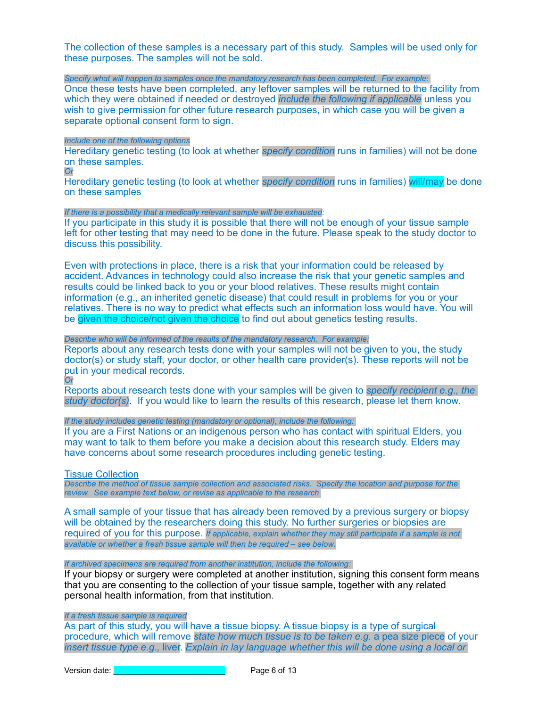The collection of these samples is a necessary part of this study. Samples will be used only for these purposes. The samples will not be sold.

*Specify what will happen to samples once the mandatory research has been completed. For example:* 

Once these tests have been completed, any leftover samples will be returned to the facility from which they were obtained if needed or destroyed *include the following if applicable* unless you wish to give permission for other future research purposes, in which case you will be given a separate optional consent form to sign.

#### *Include one of the following options*

Hereditary genetic testing (to look at whether *specify condition* runs in families) will not be done on these samples.

*Or* 

Hereditary genetic testing (to look at whether *specify condition* runs in families) will/may be done on these samples

#### *If there is a possibility that a medically relevant sample will be exhausted:*

If you participate in this study it is possible that there will not be enough of your tissue sample left for other testing that may need to be done in the future. Please speak to the study doctor to discuss this possibility.

Even with protections in place, there is a risk that your information could be released by accident. Advances in technology could also increase the risk that your genetic samples and results could be linked back to you or your blood relatives. These results might contain information (e.g., an inherited genetic disease) that could result in problems for you or your relatives. There is no way to predict what effects such an information loss would have. You will be given the choice/not given the choice to find out about genetics testing results.

### *Describe who will be informed of the results of the mandatory research. For example:*

Reports about any research tests done with your samples will not be given to you, the study doctor(s) or study staff, your doctor, or other health care provider(s). These reports will not be put in your medical records.

*Or*

Reports about research tests done with your samples will be given to *specify recipient e.g., the study doctor(s)*. If you would like to learn the results of this research, please let them know.

#### *If the study includes genetic testing (mandatory or optional), include the following:*

If you are a First Nations or an indigenous person who has contact with spiritual Elders, you may want to talk to them before you make a decision about this research study. Elders may have concerns about some research procedures including genetic testing.

Tissue Collection

*Describe the method of tissue sample collection and associated risks. Specify the location and purpose for the review. See example text below, or revise as applicable to the research* 

A small sample of your tissue that has already been removed by a previous surgery or biopsy will be obtained by the researchers doing this study. No further surgeries or biopsies are required of you for this purpose. *If applicable, explain whether they may still participate if a sample is not available or whether a fresh tissue sample will then be required – see below.*

#### *If archived specimens are required from another institution, include the following:*

If your biopsy or surgery were completed at another institution, signing this consent form means that you are consenting to the collection of your tissue sample, together with any related personal health information, from that institution.

## *If a fresh tissue sample is required*

As part of this study, you will have a tissue biopsy. A tissue biopsy is a type of surgical procedure, which will remove *state how much tissue is to be taken e.g.* a pea size piece of your *insert tissue type e.g.,* liver. *Explain in lay language whether this will be done using a local or*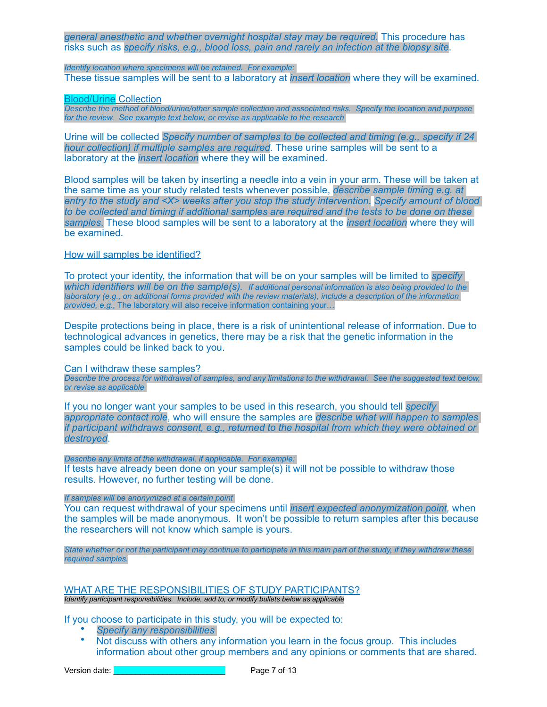*general anesthetic and whether overnight hospital stay may be required.* This procedure has risks such as *specify risks, e.g., blood loss, pain and rarely an infection at the biopsy site*.

*Identify location where specimens will be retained. For example:*  These tissue samples will be sent to a laboratory at *insert location* where they will be examined.

### Blood/Urine Collection

*Describe the method of blood/urine/other sample collection and associated risks. Specify the location and purpose for the review. See example text below, or revise as applicable to the research* 

Urine will be collected *Specify number of samples to be collected and timing (e.g., specify if 24 hour collection) if multiple samples are required.* These urine samples will be sent to a laboratory at the *insert location* where they will be examined.

Blood samples will be taken by inserting a needle into a vein in your arm. These will be taken at the same time as your study related tests whenever possible, *describe sample timing e.g. at entry to the study and <X> weeks after you stop the study intervention*. *Specify amount of blood to be collected and timing if additional samples are required and the tests to be done on these samples*. These blood samples will be sent to a laboratory at the *insert location* where they will be examined.

## How will samples be identified?

To protect your identity, the information that will be on your samples will be limited to *specify which identifiers will be on the sample(s). If additional personal information is also being provided to the laboratory (e.g., on additional forms provided with the review materials), include a description of the information provided, e.g.,* The laboratory will also receive information containing your…

Despite protections being in place, there is a risk of unintentional release of information. Due to technological advances in genetics, there may be a risk that the genetic information in the samples could be linked back to you.

#### Can I withdraw these samples?

*Describe the process for withdrawal of samples, and any limitations to the withdrawal. See the suggested text below, or revise as applicable* 

If you no longer want your samples to be used in this research, you should tell *specify appropriate contact role*, who will ensure the samples are *describe what will happen to samples if participant withdraws consent, e.g., returned to the hospital from which they were obtained or destroyed*.

#### *Describe any limits of the withdrawal, if applicable. For example:*

If tests have already been done on your sample(s) it will not be possible to withdraw those results. However, no further testing will be done.

#### *If samples will be anonymized at a certain point*

You can request withdrawal of your specimens until *insert expected anonymization point,* when the samples will be made anonymous. It won't be possible to return samples after this because the researchers will not know which sample is yours.

*State whether or not the participant may continue to participate in this main part of the study, if they withdraw these required samples.*

#### WHAT ARE THE RESPONSIBILITIES OF STUDY PARTICIPANTS? *Identify participant responsibilities. Include, add to, or modify bullets below as applicable*

If you choose to participate in this study, you will be expected to:

- *Specify any responsibilities*
- Not discuss with others any information you learn in the focus group. This includes information about other group members and any opinions or comments that are shared.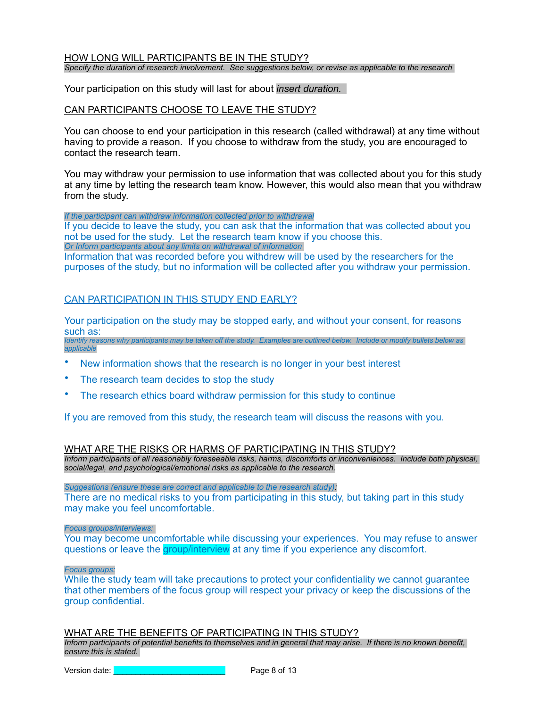### HOW LONG WILL PARTICIPANTS BE IN THE STUDY? *Specify the duration of research involvement. See suggestions below, or revise as applicable to the research*

Your participation on this study will last for about *insert duration.* 

## CAN PARTICIPANTS CHOOSE TO LEAVE THE STUDY?

You can choose to end your participation in this research (called withdrawal) at any time without having to provide a reason. If you choose to withdraw from the study, you are encouraged to contact the research team.

You may withdraw your permission to use information that was collected about you for this study at any time by letting the research team know. However, this would also mean that you withdraw from the study.

*If the participant can withdraw information collected prior to withdrawal*

If you decide to leave the study, you can ask that the information that was collected about you not be used for the study. Let the research team know if you choose this. *Or Inform participants about any limits on withdrawal of information* 

Information that was recorded before you withdrew will be used by the researchers for the purposes of the study, but no information will be collected after you withdraw your permission.

## CAN PARTICIPATION IN THIS STUDY END EARLY?

Your participation on the study may be stopped early, and without your consent, for reasons such as:

*Identify reasons why participants may be taken off the study. Examples are outlined below. Include or modify bullets below as applicable*

- New information shows that the research is no longer in your best interest
- The research team decides to stop the study
- The research ethics board withdraw permission for this study to continue

If you are removed from this study, the research team will discuss the reasons with you.

### WHAT ARE THE RISKS OR HARMS OF PARTICIPATING IN THIS STUDY?

*Inform participants of all reasonably foreseeable risks, harms, discomforts or inconveniences. Include both physical, social/legal, and psychological/emotional risks as applicable to the research.*

#### *Suggestions (ensure these are correct and applicable to the research study):*

There are no medical risks to you from participating in this study, but taking part in this study may make you feel uncomfortable.

#### *Focus groups/interviews:*

You may become uncomfortable while discussing your experiences. You may refuse to answer questions or leave the group/interview at any time if you experience any discomfort.

*Focus groups:*

While the study team will take precautions to protect your confidentiality we cannot guarantee that other members of the focus group will respect your privacy or keep the discussions of the group confidential.

## WHAT ARE THE BENEFITS OF PARTICIPATING IN THIS STUDY?

*Inform participants of potential benefits to themselves and in general that may arise. If there is no known benefit, ensure this is stated.*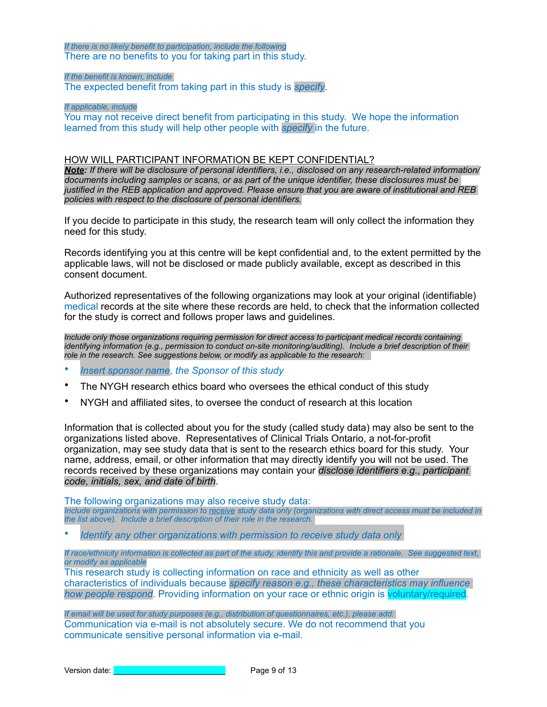*If there is no likely benefit to participation, include the following* There are no benefits to you for taking part in this study.

*If the benefit is known, include* 

The expected benefit from taking part in this study is *specify*.

*If applicable, include*

You may not receive direct benefit from participating in this study. We hope the information learned from this study will help other people with *specify* in the future.

## HOW WILL PARTICIPANT INFORMATION BE KEPT CONFIDENTIAL?

*Note: If there will be disclosure of personal identifiers, i.e., disclosed on any research-related information/ documents including samples or scans, or as part of the unique identifier, these disclosures must be justified in the REB application and approved. Please ensure that you are aware of institutional and REB policies with respect to the disclosure of personal identifiers.*

If you decide to participate in this study, the research team will only collect the information they need for this study.

Records identifying you at this centre will be kept confidential and, to the extent permitted by the applicable laws, will not be disclosed or made publicly available, except as described in this consent document.

Authorized representatives of the following organizations may look at your original (identifiable) medical records at the site where these records are held, to check that the information collected for the study is correct and follows proper laws and guidelines.

*Include only those organizations requiring permission for direct access to participant medical records containing identifying information (e.g., permission to conduct on-site monitoring/auditing). Include a brief description of their role in the research. See suggestions below, or modify as applicable to the research:* 

• *Insert sponsor name, the Sponsor of this study* 

- The NYGH research ethics board who oversees the ethical conduct of this study
- NYGH and affiliated sites, to oversee the conduct of research at this location

Information that is collected about you for the study (called study data) may also be sent to the organizations listed above. Representatives of Clinical Trials Ontario, a not-for-profit organization, may see study data that is sent to the research ethics board for this study. Your name, address, email, or other information that may directly identify you will not be used. The records received by these organizations may contain your *disclose identifiers e.g., participant code, initials, sex, and date of birth*.

The following organizations may also receive study data: *Include organizations with permission to receive study data only (organizations with direct access must be included in the list above). Include a brief description of their role in the research.*

• *Identify any other organizations with permission to receive study data only* 

*If race/ethnicity information is collected as part of the study, identify this and provide a rationale. See suggested text, or modify as applicable*

This research study is collecting information on race and ethnicity as well as other characteristics of individuals because *specify reason e.g., these characteristics may influence how people respond*. Providing information on your race or ethnic origin is voluntary/required.

*If email will be used for study purposes (e.g., distribution of questionnaires, etc.), please add:*  Communication via e-mail is not absolutely secure. We do not recommend that you communicate sensitive personal information via e-mail.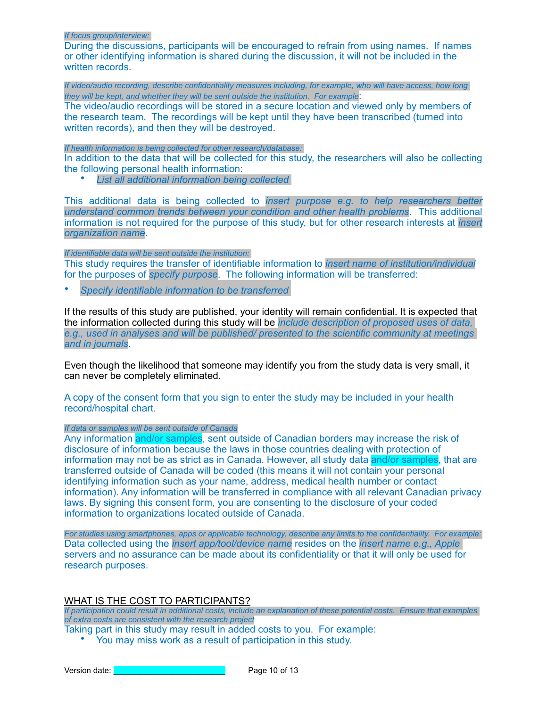#### *If focus group/interview:*

During the discussions, participants will be encouraged to refrain from using names. If names or other identifying information is shared during the discussion, it will not be included in the written records.

*If video/audio recording, describe confidentiality measures including, for example, who will have access, how long they will be kept, and whether they will be sent outside the institution. For example*:

The video/audio recordings will be stored in a secure location and viewed only by members of the research team. The recordings will be kept until they have been transcribed (turned into written records), and then they will be destroyed.

## *If health information is being collected for other research/database:*

In addition to the data that will be collected for this study, the researchers will also be collecting the following personal health information:

• *List all additional information being collected* 

This additional data is being collected to *insert purpose e.g. to help researchers better understand common trends between your condition and other health problems*. This additional information is not required for the purpose of this study, but for other research interests at *insert organization name*.

*If identifiable data will be sent outside the institution:* 

This study requires the transfer of identifiable information to *insert name of institution/individual* for the purposes of *specify purpose*. The following information will be transferred:

• *Specify identifiable information to be transferred* 

If the results of this study are published, your identity will remain confidential. It is expected that the information collected during this study will be *include description of proposed uses of data, e.g., used in analyses and will be published/ presented to the scientific community at meetings and in journals*.

Even though the likelihood that someone may identify you from the study data is very small, it can never be completely eliminated.

A copy of the consent form that you sign to enter the study may be included in your health record/hospital chart.

## *If data or samples will be sent outside of Canada*

Any information and/or samples, sent outside of Canadian borders may increase the risk of disclosure of information because the laws in those countries dealing with protection of information may not be as strict as in Canada. However, all study data and/or samples, that are transferred outside of Canada will be coded (this means it will not contain your personal identifying information such as your name, address, medical health number or contact information). Any information will be transferred in compliance with all relevant Canadian privacy laws. By signing this consent form, you are consenting to the disclosure of your coded information to organizations located outside of Canada.

*For studies using smartphones, apps or applicable technology, describe any limits to the confidentiality. For example:*  Data collected using the *insert app/tool/device name* resides on the *insert name e.g., Apple*  servers and no assurance can be made about its confidentiality or that it will only be used for research purposes.

# WHAT IS THE COST TO PARTICIPANTS?

*If participation could result in additional costs, include an explanation of these potential costs. Ensure that examples of extra costs are consistent with the research project*

Taking part in this study may result in added costs to you. For example:

• You may miss work as a result of participation in this study.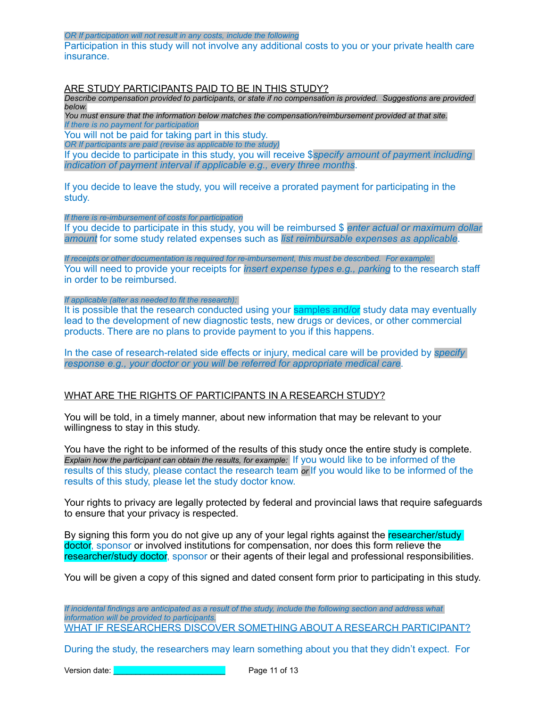*OR If participation will not result in any costs, include the following*

Participation in this study will not involve any additional costs to you or your private health care insurance.

# ARE STUDY PARTICIPANTS PAID TO BE IN THIS STUDY?

*Describe compensation provided to participants, or state if no compensation is provided. Suggestions are provided below.* 

*You must ensure that the information below matches the compensation/reimbursement provided at that site. If there is no payment for participation*

You will not be paid for taking part in this study.

*OR If participants are paid (revise as applicable to the study)*

If you decide to participate in this study, you will receive \$*specify amount of paymen*t *including indication of payment interval if applicable e.g., every three months*.

If you decide to leave the study, you will receive a prorated payment for participating in the study.

*If there is re-imbursement of costs for participation*

If you decide to participate in this study, you will be reimbursed \$ *enter actual or maximum dollar amount* for some study related expenses such as *list reimbursable expenses as applicable*.

*If receipts or other documentation is required for re-imbursement, this must be described. For example:*  You will need to provide your receipts for *insert expense types e.g., parking* to the research staff in order to be reimbursed.

## *If applicable (alter as needed to fit the research):*

It is possible that the research conducted using your samples and/or study data may eventually lead to the development of new diagnostic tests, new drugs or devices, or other commercial products. There are no plans to provide payment to you if this happens.

In the case of research-related side effects or injury, medical care will be provided by *specify response e.g., your doctor or you will be referred for appropriate medical care*.

# WHAT ARE THE RIGHTS OF PARTICIPANTS IN A RESEARCH STUDY?

You will be told, in a timely manner, about new information that may be relevant to your willingness to stay in this study.

You have the right to be informed of the results of this study once the entire study is complete. *Explain how the participant can obtain the results, for example:* If you would like to be informed of the results of this study, please contact the research team *or* If you would like to be informed of the results of this study, please let the study doctor know.

Your rights to privacy are legally protected by federal and provincial laws that require safeguards to ensure that your privacy is respected.

By signing this form you do not give up any of your legal rights against the researcher/study doctor, sponsor or involved institutions for compensation, nor does this form relieve the researcher/study doctor, sponsor or their agents of their legal and professional responsibilities.

You will be given a copy of this signed and dated consent form prior to participating in this study.

*If incidental findings are anticipated as a result of the study, include the following section and address what information will be provided to participants.* WHAT IF RESEARCHERS DISCOVER SOMETHING ABOUT A RESEARCH PARTICIPANT?

During the study, the researchers may learn something about you that they didn't expect. For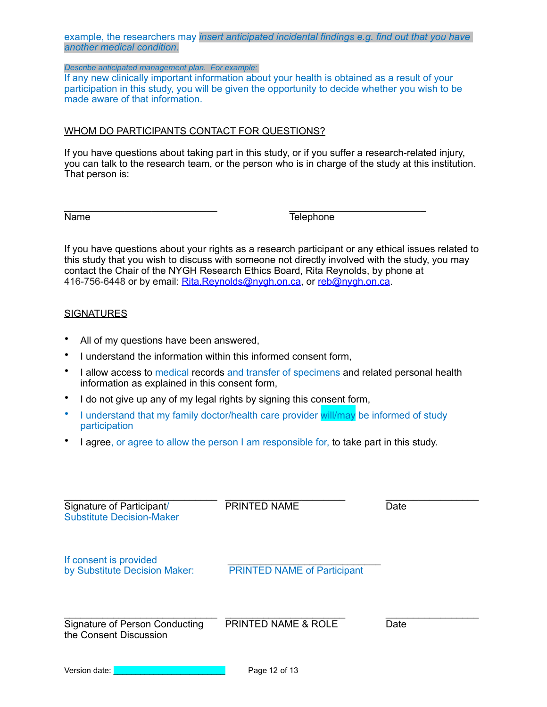example, the researchers may *insert anticipated incidental findings e.g. find out that you have another medical condition.*

## *Describe anticipated management plan. For example:*

If any new clinically important information about your health is obtained as a result of your participation in this study, you will be given the opportunity to decide whether you wish to be made aware of that information.

# WHOM DO PARTICIPANTS CONTACT FOR QUESTIONS?

If you have questions about taking part in this study, or if you suffer a research-related injury, you can talk to the research team, or the person who is in charge of the study at this institution. That person is:

\_\_\_\_\_\_\_\_\_\_\_\_\_\_\_\_\_\_\_\_\_\_\_\_\_\_\_\_ \_\_\_\_\_\_\_\_\_\_\_\_\_\_\_\_\_\_\_\_\_\_\_\_\_

Name Telephone

If you have questions about your rights as a research participant or any ethical issues related to this study that you wish to discuss with someone not directly involved with the study, you may contact the Chair of the NYGH Research Ethics Board, Rita Reynolds, by phone at 416-756-6448 or by email: [Rita.Reynolds@nygh.on.ca,](mailto:Rita.Reynolds@nygh.on.ca) or [reb@nygh.on.ca.](mailto:reb@nygh.on.ca)

# **SIGNATURES**

- All of my questions have been answered,
- I understand the information within this informed consent form,
- I allow access to medical records and transfer of specimens and related personal health information as explained in this consent form,
- I do not give up any of my legal rights by signing this consent form,
- I understand that my family doctor/health care provider will/may be informed of study participation
- I agree, or agree to allow the person I am responsible for, to take part in this study.

| Signature of Participant/<br><b>Substitute Decision-Maker</b>   | PRINTED NAME                       | Date |
|-----------------------------------------------------------------|------------------------------------|------|
| If consent is provided<br>by Substitute Decision Maker:         | <b>PRINTED NAME of Participant</b> |      |
| <b>Signature of Person Conducting</b><br>the Consent Discussion | <b>PRINTED NAME &amp; ROLE</b>     | Date |